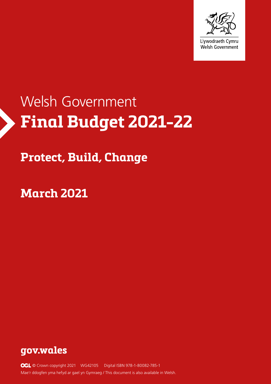

# **Final Budget 2021-22** Welsh Government

# **Protect, Build, Change**

**March 2021**



**OGL** © Crown copyright 2021 WG42105 Digital ISBN 978-1-80082-785-1 Mae'r ddogfen yma hefyd ar gael yn Gymraeg / This document is also available in Welsh.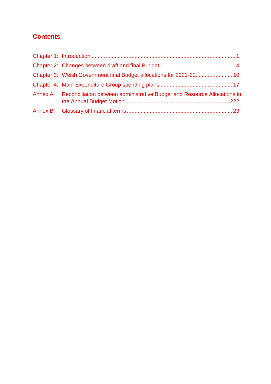# **Contents**

| Annex A: Reconciliation between administrative Budget and Resource Allocations in |  |
|-----------------------------------------------------------------------------------|--|
|                                                                                   |  |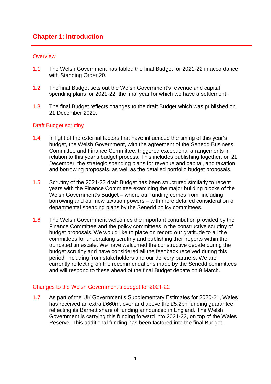## <span id="page-2-0"></span>**Chapter 1: Introduction**

#### **Overview**

- 1.1 The Welsh Government has tabled the final Budget for 2021-22 in accordance with Standing Order 20.
- 1.2 The final Budget sets out the Welsh Government's revenue and capital spending plans for 2021-22, the final year for which we have a settlement.
- 1.3 The final Budget reflects changes to the draft Budget which was published on 21 December 2020.

#### Draft Budget scrutiny

- 1.4 In light of the external factors that have influenced the timing of this year's budget, the Welsh Government, with the agreement of the Senedd Business Committee and Finance Committee, triggered exceptional arrangements in relation to this year's budget process. This includes publishing together, on 21 December, the strategic spending plans for revenue and capital, and taxation and borrowing proposals, as well as the detailed portfolio budget proposals.
- 1.5 Scrutiny of the 2021-22 draft Budget has been structured similarly to recent years with the Finance Committee examining the major building blocks of the Welsh Government's Budget – where our funding comes from, including borrowing and our new taxation powers – with more detailed consideration of departmental spending plans by the Senedd policy committees.
- 1.6 The Welsh Government welcomes the important contribution provided by the Finance Committee and the policy committees in the constructive scrutiny of budget proposals. We would like to place on record our gratitude to all the committees for undertaking scrutiny and publishing their reports within the truncated timescale. We have welcomed the constructive debate during the budget scrutiny and have considered all the feedback received during this period, including from stakeholders and our delivery partners. We are currently reflecting on the recommendations made by the Senedd committees and will respond to these ahead of the final Budget debate on 9 March.

#### Changes to the Welsh Government's budget for 2021-22

1.7 As part of the UK Government's Supplementary Estimates for 2020-21, Wales has received an extra £660m, over and above the £5.2bn funding guarantee, reflecting its Barnett share of funding announced in England. The Welsh Government is carrying this funding forward into 2021-22, on top of the Wales Reserve. This additional funding has been factored into the final Budget.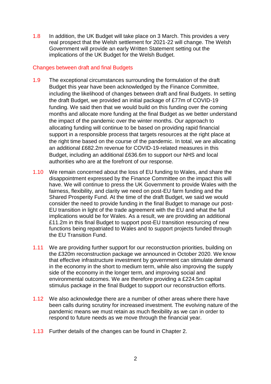1.8 In addition, the UK Budget will take place on 3 March. This provides a very real prospect that the Welsh settlement for 2021-22 will change. The Welsh Government will provide an early Written Statement setting out the implications of the UK Budget for the Welsh Budget.

#### Changes between draft and final Budgets

- 1.9 The exceptional circumstances surrounding the formulation of the draft Budget this year have been acknowledged by the Finance Committee, including the likelihood of changes between draft and final Budgets. In setting the draft Budget, we provided an initial package of £77m of COVID-19 funding. We said then that we would build on this funding over the coming months and allocate more funding at the final Budget as we better understand the impact of the pandemic over the winter months. Our approach to allocating funding will continue to be based on providing rapid financial support in a responsible process that targets resources at the right place at the right time based on the course of the pandemic. In total, we are allocating an additional £682.2m revenue for COVID-19-related measures in this Budget, including an additional £636.6m to support our NHS and local authorities who are at the forefront of our response.
- 1.10 We remain concerned about the loss of EU funding to Wales, and share the disappointment expressed by the Finance Committee on the impact this will have. We will continue to press the UK Government to provide Wales with the fairness, flexibility, and clarity we need on post-EU farm funding and the Shared Prosperity Fund. At the time of the draft Budget, we said we would consider the need to provide funding in the final Budget to manage our post-EU transition in light of the trade agreement with the EU and what the full implications would be for Wales. As a result, we are providing an additional £11.2m in this final Budget to support post-EU transition resourcing of new functions being repatriated to Wales and to support projects funded through the EU Transition Fund.
- 1.11 We are providing further support for our reconstruction priorities, building on the £320m reconstruction package we announced in October 2020. We know that effective infrastructure investment by government can stimulate demand in the economy in the short to medium term, while also improving the supply side of the economy in the longer term, and improving social and environmental outcomes. We are therefore providing a £224.5m capital stimulus package in the final Budget to support our reconstruction efforts.
- 1.12 We also acknowledge there are a number of other areas where there have been calls during scrutiny for increased investment. The evolving nature of the pandemic means we must retain as much flexibility as we can in order to respond to future needs as we move through the financial year.
- 1.13 Further details of the changes can be found in Chapter 2.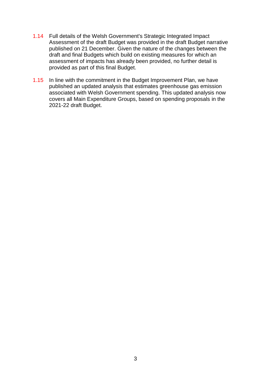- 1.14 Full details of the Welsh Government's Strategic Integrated Impact Assessment of the draft Budget was provided in the draft Budget narrative published on 21 December. Given the nature of the changes between the draft and final Budgets which build on existing measures for which an assessment of impacts has already been provided, no further detail is provided as part of this final Budget.
- 1.15 In line with the commitment in the Budget Improvement Plan, we have published an updated analysis that estimates greenhouse gas emission associated with Welsh Government spending. This updated analysis now covers all Main Expenditure Groups, based on spending proposals in the 2021-22 draft Budget.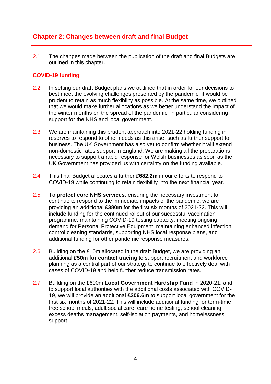# <span id="page-5-0"></span>**Chapter 2: Changes between draft and final Budget**

2.1 The changes made between the publication of the draft and final Budgets are outlined in this chapter.

#### **COVID-19 funding**

- 2.2 In setting our draft Budget plans we outlined that in order for our decisions to best meet the evolving challenges presented by the pandemic, it would be prudent to retain as much flexibility as possible. At the same time, we outlined that we would make further allocations as we better understand the impact of the winter months on the spread of the pandemic, in particular considering support for the NHS and local government.
- 2.3 We are maintaining this prudent approach into 2021-22 holding funding in reserves to respond to other needs as this arise, such as further support for business. The UK Government has also yet to confirm whether it will extend non-domestic rates support in England. We are making all the preparations necessary to support a rapid response for Welsh businesses as soon as the UK Government has provided us with certainty on the funding available.
- 2.4 This final Budget allocates a further **£682.2m** in our efforts to respond to COVID-19 while continuing to retain flexibility into the next financial year.
- 2.5 To **protect core NHS services**, ensuring the necessary investment to continue to respond to the immediate impacts of the pandemic, we are providing an additional **£380m** for the first six months of 2021-22. This will include funding for the continued rollout of our successful vaccination programme, maintaining COVID-19 testing capacity, meeting ongoing demand for Personal Protective Equipment, maintaining enhanced infection control cleaning standards, supporting NHS local response plans, and additional funding for other pandemic response measures.
- 2.6 Building on the £10m allocated in the draft Budget, we are providing an additional **£50m for contact tracing** to support recruitment and workforce planning as a central part of our strategy to continue to effectively deal with cases of COVID-19 and help further reduce transmission rates.
- 2.7 Building on the £600m **Local Government Hardship Fund** in 2020-21, and to support local authorities with the additional costs associated with COVID-19, we will provide an additional **£206.6m** to support local government for the first six months of 2021-22. This will include additional funding for term-time free school meals, adult social care, care home testing, school cleaning, excess deaths management, self-isolation payments, and homelessness support.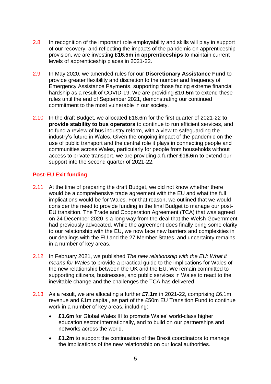- 2.8 In recognition of the important role employability and skills will play in support of our recovery, and reflecting the impacts of the pandemic on apprenticeship provision, we are investing **£16.5m in apprenticeships** to maintain current levels of apprenticeship places in 2021-22.
- 2.9 In May 2020, we amended rules for our **Discretionary Assistance Fund** to provide greater flexibility and discretion to the number and frequency of Emergency Assistance Payments, supporting those facing extreme financial hardship as a result of COVID-19. We are providing **£10.5m** to extend these rules until the end of September 2021, demonstrating our continued commitment to the most vulnerable in our society.
- 2.10 In the draft Budget, we allocated £18.6m for the first quarter of 2021-22 **to provide stability to bus operators** to continue to run efficient services, and to fund a review of bus industry reform, with a view to safeguarding the industry's future in Wales. Given the ongoing impact of the pandemic on the use of public transport and the central role it plays in connecting people and communities across Wales, particularly for people from households without access to private transport, we are providing a further **£18.6m** to extend our support into the second quarter of 2021-22.

#### **Post-EU Exit funding**

- 2.11 At the time of preparing the draft Budget, we did not know whether there would be a comprehensive trade agreement with the EU and what the full implications would be for Wales. For that reason, we outlined that we would consider the need to provide funding in the final Budget to manage our post-EU transition. The Trade and Cooperation Agreement (TCA) that was agreed on 24 December 2020 is a long way from the deal that the Welsh Government had previously advocated. While the agreement does finally bring some clarity to our relationship with the EU, we now face new barriers and complexities in our dealings with the EU and the 27 Member States, and uncertainty remains in a number of key areas.
- 2.12 In February 2021, we published *The new relationship with the EU: What it means for Wales* to provide a practical guide to the implications for Wales of the new relationship between the UK and the EU. We remain committed to supporting citizens, businesses, and public services in Wales to react to the inevitable change and the challenges the TCA has delivered.
- 2.13 As a result, we are allocating a further **£7.1m** in 2021-22, comprising £6.1m revenue and £1m capital, as part of the £50m EU Transition Fund to continue work in a number of key areas, including:
	- **£1.6m** for Global Wales III to promote Wales' world-class higher education sector internationally, and to build on our partnerships and networks across the world.
	- **£1.2m** to support the continuation of the Brexit coordinators to manage the implications of the new relationship on our local authorities.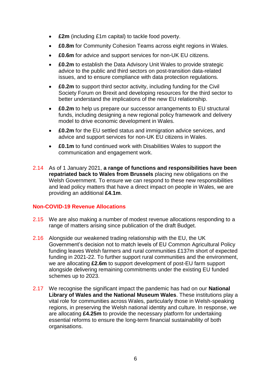- **£2m** (including £1m capital) to tackle food poverty.
- **£0.8m** for Community Cohesion Teams across eight regions in Wales.
- **£0.6m** for advice and support services for non-UK EU citizens.
- **£0.2m** to establish the Data Advisory Unit Wales to provide strategic advice to the public and third sectors on post-transition data-related issues, and to ensure compliance with data protection regulations.
- **£0.2m** to support third sector activity, including funding for the Civil Society Forum on Brexit and developing resources for the third sector to better understand the implications of the new EU relationship.
- **£0.2m** to help us prepare our successor arrangements to EU structural funds, including designing a new regional policy framework and delivery model to drive economic development in Wales.
- **£0.2m** for the EU settled status and immigration advice services, and advice and support services for non-UK EU citizens in Wales.
- **£0.1m** to fund continued work with Disabilities Wales to support the communication and engagement work.
- 2.14 As of 1 January 2021, **a range of functions and responsibilities have been repatriated back to Wales from Brussels** placing new obligations on the Welsh Government. To ensure we can respond to these new responsibilities and lead policy matters that have a direct impact on people in Wales, we are providing an additional **£4.1m**.

#### **Non-COVID-19 Revenue Allocations**

- 2.15 We are also making a number of modest revenue allocations responding to a range of matters arising since publication of the draft Budget.
- 2.16 Alongside our weakened trading relationship with the EU, the UK Government's decision not to match levels of EU Common Agricultural Policy funding leaves Welsh farmers and rural communities £137m short of expected funding in 2021-22. To further support rural communities and the environment, we are allocating **£2.6m** to support development of post-EU farm support alongside delivering remaining commitments under the existing EU funded schemes up to 2023.
- 2.17 We recognise the significant impact the pandemic has had on our **National Library of Wales and the National Museum Wales**. These institutions play a vital role for communities across Wales, particularly those in Welsh-speaking regions, in preserving the Welsh national identity and culture. In response, we are allocating **£4.25m** to provide the necessary platform for undertaking essential reforms to ensure the long-term financial sustainability of both organisations.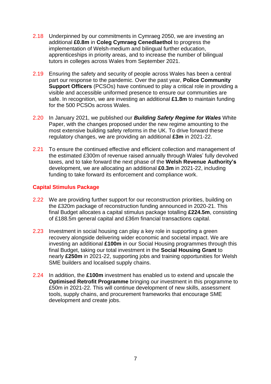- 2.18 Underpinned by our commitments in Cymraeg 2050, we are investing an additional **£0.8m** in **Coleg Cymraeg Cenedlaethol** to progress the implementation of Welsh-medium and bilingual further education, apprenticeships in priority areas, and to increase the number of bilingual tutors in colleges across Wales from September 2021.
- 2.19 Ensuring the safety and security of people across Wales has been a central part our response to the pandemic. Over the past year, **Police Community Support Officers** (PCSOs) have continued to play a critical role in providing a visible and accessible uniformed presence to ensure our communities are safe. In recognition, we are investing an additional **£1.8m** to maintain funding for the 500 PCSOs across Wales.
- 2.20 In January 2021, we published our *Building Safety Regime for Wales* White Paper, with the changes proposed under the new regime amounting to the most extensive building safety reforms in the UK. To drive forward these regulatory changes, we are providing an additional **£3m** in 2021-22.
- 2.21 To ensure the continued effective and efficient collection and management of the estimated £300m of revenue raised annually through Wales' fully devolved taxes, and to take forward the next phase of the **Welsh Revenue Authority's** development, we are allocating an additional **£0.3m** in 2021-22, including funding to take forward its enforcement and compliance work.

#### **Capital Stimulus Package**

- 2.22 We are providing further support for our reconstruction priorities, building on the £320m package of reconstruction funding announced in 2020-21. This final Budget allocates a capital stimulus package totalling **£224.5m**, consisting of £188.5m general capital and £36m financial transactions capital.
- 2.23 Investment in social housing can play a key role in supporting a green recovery alongside delivering wider economic and societal impact. We are investing an additional **£100m** in our Social Housing programmes through this final Budget, taking our total investment in the **Social Housing Grant** to nearly **£250m** in 2021-22, supporting jobs and training opportunities for Welsh SME builders and localised supply chains.
- 2.24 In addition, the **£100m** investment has enabled us to extend and upscale the **Optimised Retrofit Programme** bringing our investment in this programme to £50m in 2021-22. This will continue development of new skills, assessment tools, supply chains, and procurement frameworks that encourage SME development and create jobs.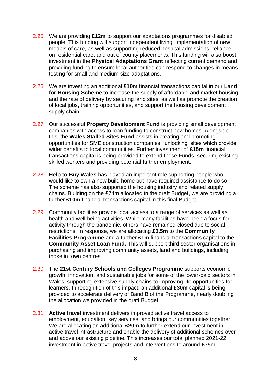- 2.25 We are providing **£12m** to support our adaptations programmes for disabled people. This funding will support independent living, implementation of new models of care, as well as supporting reduced hospital admissions, reliance on residential care, and out of county placements. This funding will also boost investment in the **Physical Adaptations Grant** reflecting current demand and providing funding to ensure local authorities can respond to changes in means testing for small and medium size adaptations.
- 2.26 We are investing an additional **£10m** financial transactions capital in our **Land for Housing Scheme** to increase the supply of affordable and market housing and the rate of delivery by securing land sites, as well as promote the creation of local jobs, training opportunities, and support the housing development supply chain.
- 2.27 Our successful **Property Development Fund** is providing small development companies with access to loan funding to construct new homes. Alongside this, the **Wales Stalled Sites Fund** assists in creating and promoting opportunities for SME construction companies, 'unlocking' sites which provide wider benefits to local communities. Further investment of **£15m** financial transactions capital is being provided to extend these Funds, securing existing skilled workers and providing potential further employment.
- 2.28 **Help to Buy Wales** has played an important role supporting people who would like to own a new build home but have required assistance to do so. The scheme has also supported the housing industry and related supply chains. Building on the £74m allocated in the draft Budget, we are providing a further **£10m** financial transactions capital in this final Budget.
- 2.29 Community facilities provide local access to a range of services as well as health and well-being activities. While many facilities have been a focus for activity through the pandemic, others have remained closed due to social restrictions. In response, we are allocating **£3.5m** to the **Community Facilities Programme** and a further **£1m** financial transactions capital to the **Community Asset Loan Fund.** This will support third sector organisations in purchasing and improving community assets, land and buildings, including those in town centres.
- 2.30 The **21st Century Schools and Colleges Programme** supports economic growth, innovation, and sustainable jobs for some of the lower-paid sectors in Wales, supporting extensive supply chains to improving life opportunities for learners. In recognition of this impact, an additional **£30m** capital is being provided to accelerate delivery of Band B of the Programme, nearly doubling the allocation we provided in the draft Budget.
- 2.31 **Active travel** investment delivers improved active travel access to employment, education, key services, and brings our communities together. We are allocating an additional **£20m** to further extend our investment in active travel infrastructure and enable the delivery of additional schemes over and above our existing pipeline. This increases our total planned 2021-22 investment in active travel projects and interventions to around £75m.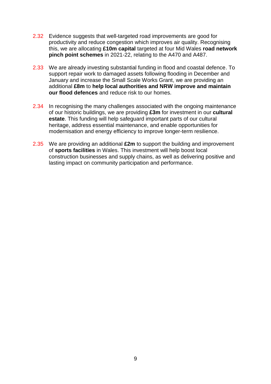- 2.32 Evidence suggests that well-targeted road improvements are good for productivity and reduce congestion which improves air quality. Recognising this, we are allocating **£10m capital** targeted at four Mid Wales **road network pinch point schemes** in 2021-22, relating to the A470 and A487.
- 2.33 We are already investing substantial funding in flood and coastal defence. To support repair work to damaged assets following flooding in December and January and increase the Small Scale Works Grant, we are providing an additional **£8m** to **help local authorities and NRW improve and maintain our flood defences** and reduce risk to our homes.
- 2.34 In recognising the many challenges associated with the ongoing maintenance of our historic buildings, we are providing **£3m** for investment in our **cultural estate**. This funding will help safeguard important parts of our cultural heritage, address essential maintenance, and enable opportunities for modernisation and energy efficiency to improve longer-term resilience.
- 2.35 We are providing an additional **£2m** to support the building and improvement of **sports facilities** in Wales. This investment will help boost local construction businesses and supply chains, as well as delivering positive and lasting impact on community participation and performance.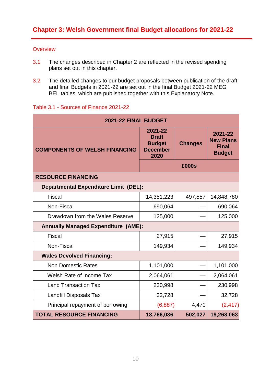#### <span id="page-11-0"></span>**Overview**

- 3.1 The changes described in Chapter 2 are reflected in the revised spending plans set out in this chapter.
- 3.2 The detailed changes to our budget proposals between publication of the draft and final Budgets in 2021-22 are set out in the final Budget 2021-22 MEG BEL tables, which are published together with this Explanatory Note.

#### Table 3.1 - Sources of Finance 2021-22

| 2021-22 FINAL BUDGET                         |                                                                     |                |                                                              |  |  |
|----------------------------------------------|---------------------------------------------------------------------|----------------|--------------------------------------------------------------|--|--|
| <b>COMPONENTS OF WELSH FINANCING</b>         | 2021-22<br><b>Draft</b><br><b>Budget</b><br><b>December</b><br>2020 | <b>Changes</b> | 2021-22<br><b>New Plans</b><br><b>Final</b><br><b>Budget</b> |  |  |
|                                              |                                                                     | £000s          |                                                              |  |  |
| <b>RESOURCE FINANCING</b>                    |                                                                     |                |                                                              |  |  |
| <b>Departmental Expenditure Limit (DEL):</b> |                                                                     |                |                                                              |  |  |
| Fiscal                                       | 14,351,223                                                          | 497,557        | 14,848,780                                                   |  |  |
| Non-Fiscal                                   | 690,064                                                             |                | 690,064                                                      |  |  |
| Drawdown from the Wales Reserve              | 125,000                                                             |                | 125,000                                                      |  |  |
| <b>Annually Managed Expenditure (AME):</b>   |                                                                     |                |                                                              |  |  |
| <b>Fiscal</b>                                | 27,915                                                              |                | 27,915                                                       |  |  |
| Non-Fiscal                                   | 149,934                                                             |                | 149,934                                                      |  |  |
| <b>Wales Devolved Financing:</b>             |                                                                     |                |                                                              |  |  |
| <b>Non Domestic Rates</b>                    | 1,101,000                                                           |                | 1,101,000                                                    |  |  |
| <b>Welsh Rate of Income Tax</b>              | 2,064,061                                                           |                | 2,064,061                                                    |  |  |
| <b>Land Transaction Tax</b>                  | 230,998                                                             |                | 230,998                                                      |  |  |
| <b>Landfill Disposals Tax</b>                | 32,728                                                              |                | 32,728                                                       |  |  |
| Principal repayment of borrowing             | (6, 887)                                                            | 4,470          | (2, 417)                                                     |  |  |
| <b>TOTAL RESOURCE FINANCING</b>              | 18,766,036                                                          | 502,027        | 19,268,063                                                   |  |  |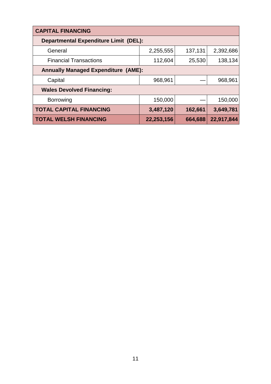| <b>CAPITAL FINANCING</b>                     |            |         |            |  |  |
|----------------------------------------------|------------|---------|------------|--|--|
| <b>Departmental Expenditure Limit (DEL):</b> |            |         |            |  |  |
| General                                      | 2,255,555  | 137,131 | 2,392,686  |  |  |
| <b>Financial Transactions</b>                | 112,604    | 25,530  | 138,134    |  |  |
| <b>Annually Managed Expenditure (AME):</b>   |            |         |            |  |  |
| Capital                                      | 968,961    |         | 968,961    |  |  |
| <b>Wales Devolved Financing:</b>             |            |         |            |  |  |
| <b>Borrowing</b>                             | 150,000    |         | 150,000    |  |  |
| <b>TOTAL CAPITAL FINANCING</b>               | 3,487,120  | 162,661 | 3,649,781  |  |  |
| <b>TOTAL WELSH FINANCING</b>                 | 22,253,156 | 664,688 | 22,917,844 |  |  |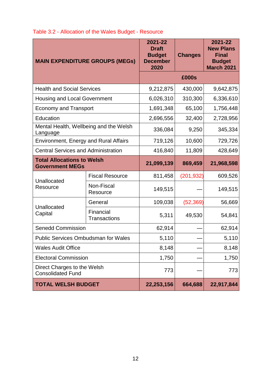|                                                             | <b>MAIN EXPENDITURE GROUPS (MEGS)</b> | 2021-22<br><b>Draft</b><br><b>Budget</b><br><b>December</b><br>2020 | <b>Changes</b> | 2021-22<br><b>New Plans</b><br><b>Final</b><br><b>Budget</b><br><b>March 2021</b> |
|-------------------------------------------------------------|---------------------------------------|---------------------------------------------------------------------|----------------|-----------------------------------------------------------------------------------|
|                                                             |                                       |                                                                     | £000s          |                                                                                   |
| <b>Health and Social Services</b>                           | 9,212,875                             | 430,000                                                             | 9,642,875      |                                                                                   |
| <b>Housing and Local Government</b>                         |                                       | 6,026,310                                                           | 310,300        | 6,336,610                                                                         |
| <b>Economy and Transport</b>                                |                                       | 1,691,348                                                           | 65,100         | 1,756,448                                                                         |
| Education                                                   |                                       | 2,696,556                                                           | 32,400         | 2,728,956                                                                         |
| Mental Health, Wellbeing and the Welsh<br>Language          | 336,084                               | 9,250                                                               | 345,334        |                                                                                   |
| <b>Environment, Energy and Rural Affairs</b>                | 719,126                               | 10,600                                                              | 729,726        |                                                                                   |
| <b>Central Services and Administration</b>                  | 416,840                               | 11,809                                                              | 428,649        |                                                                                   |
| <b>Total Allocations to Welsh</b><br><b>Government MEGs</b> |                                       | 21,099,139                                                          | 869,459        | 21,968,598                                                                        |
|                                                             | <b>Fiscal Resource</b>                | 811,458                                                             | (201, 932)     | 609,526                                                                           |
| Unallocated<br>Resource                                     | Non-Fiscal<br>Resource                | 149,515                                                             |                | 149,515                                                                           |
|                                                             | General                               | 109,038                                                             | (52, 369)      | 56,669                                                                            |
| Unallocated<br>Capital                                      | Financial<br><b>Transactions</b>      | 5,311                                                               | 49,530         | 54,841                                                                            |
| <b>Senedd Commission</b>                                    |                                       | 62,914                                                              |                | 62,914                                                                            |
| <b>Public Services Ombudsman for Wales</b>                  |                                       | 5,110                                                               |                | 5,110                                                                             |
| <b>Wales Audit Office</b>                                   |                                       | 8,148                                                               |                | 8,148                                                                             |
| <b>Electoral Commission</b>                                 |                                       | 1,750                                                               |                | 1,750                                                                             |
| Direct Charges to the Welsh<br><b>Consolidated Fund</b>     |                                       | 773                                                                 |                | 773                                                                               |
| <b>TOTAL WELSH BUDGET</b>                                   |                                       | 22,253,156                                                          | 664,688        | 22,917,844                                                                        |

## Table 3.2 - Allocation of the Wales Budget - Resource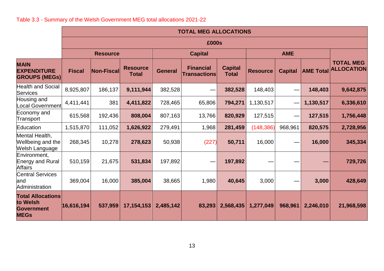# Table 3.3 - Summary of the Welsh Government MEG total allocations 2021-22

|                                                                          |               | <b>TOTAL MEG ALLOCATIONS</b> |                                 |                              |                                         |                                |                 |                          |                  |                                       |
|--------------------------------------------------------------------------|---------------|------------------------------|---------------------------------|------------------------------|-----------------------------------------|--------------------------------|-----------------|--------------------------|------------------|---------------------------------------|
|                                                                          |               |                              |                                 |                              | £000s                                   |                                |                 |                          |                  |                                       |
|                                                                          |               | <b>Resource</b>              |                                 | <b>AME</b><br><b>Capital</b> |                                         |                                |                 |                          |                  |                                       |
| <b>MAIN</b><br><b>EXPENDITURE</b><br><b>GROUPS (MEGs)</b>                | <b>Fiscal</b> | Non-Fiscal                   | <b>Resource</b><br><b>Total</b> | <b>General</b>               | <b>Financial</b><br><b>Transactions</b> | <b>Capital</b><br><b>Total</b> | <b>Resource</b> | <b>Capital</b>           | <b>AME Total</b> | <b>TOTAL MEG</b><br><b>ALLOCATION</b> |
| <b>Health and Social</b><br><b>Services</b>                              | 8,925,807     | 186,137                      | 9,111,944                       | 382,528                      |                                         | 382,528                        | 148,403         |                          | 148,403          | 9,642,875                             |
| Housing and<br><b>Local Government</b>                                   | 4,411,441     | 381                          | 4,411,822                       | 728,465                      | 65,806                                  | 794,271                        | 1,130,517       | $\overline{\phantom{0}}$ | 1,130,517        | 6,336,610                             |
| Economy and<br>Transport                                                 | 615,568       | 192,436                      | 808,004                         | 807,163                      | 13,766                                  | 820,929                        | 127,515         | —                        | 127,515          | 1,756,448                             |
| Education                                                                | 1,515,870     | 111,052                      | 1,626,922                       | 279,491                      | 1,968                                   | 281,459                        | (148, 386)      | 968,961                  | 820,575          | 2,728,956                             |
| Mental Health,<br>Wellbeing and the<br><b>Welsh Language</b>             | 268,345       | 10,278                       | 278,623                         | 50,938                       | (227)                                   | 50,711                         | 16,000          |                          | 16,000           | 345,334                               |
| Environment,<br><b>Energy and Rural</b><br><b>Affairs</b>                | 510,159       | 21,675                       | 531,834                         | 197,892                      |                                         | 197,892                        |                 |                          |                  | 729,726                               |
| <b>Central Services</b><br>land<br>Administration                        | 369,004       | 16,000                       | 385,004                         | 38,665                       | 1,980                                   | 40,645                         | 3,000           |                          | 3,000            | 428,649                               |
| <b>Total Allocations</b><br>to Welsh<br><b>Government</b><br><b>MEGs</b> | 16,616,194    | 537,959                      | 17, 154, 153                    | 2,485,142                    | 83,293                                  | 2,568,435                      | 1,277,049       | 968,961                  | 2,246,010        | 21,968,598                            |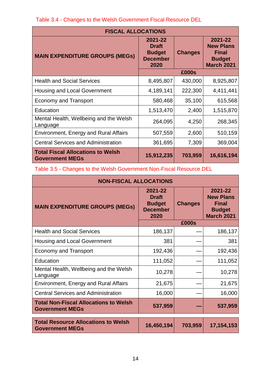| <b>FISCAL ALLOCATIONS</b>                                          |                                                                     |                |                                                                                   |  |  |
|--------------------------------------------------------------------|---------------------------------------------------------------------|----------------|-----------------------------------------------------------------------------------|--|--|
| <b>MAIN EXPENDITURE GROUPS (MEGs)</b>                              | 2021-22<br><b>Draft</b><br><b>Budget</b><br><b>December</b><br>2020 | <b>Changes</b> | 2021-22<br><b>New Plans</b><br><b>Final</b><br><b>Budget</b><br><b>March 2021</b> |  |  |
|                                                                    | £000s                                                               |                |                                                                                   |  |  |
| <b>Health and Social Services</b>                                  | 8,495,807                                                           | 430,000        | 8,925,807                                                                         |  |  |
| <b>Housing and Local Government</b>                                | 4,189,141                                                           | 222,300        | 4,411,441                                                                         |  |  |
| <b>Economy and Transport</b>                                       | 580,468                                                             | 35,100         | 615,568                                                                           |  |  |
| Education                                                          | 1,513,470                                                           | 2,400          | 1,515,870                                                                         |  |  |
| Mental Health, Wellbeing and the Welsh<br>Language                 | 264,095                                                             | 4,250          | 268,345                                                                           |  |  |
| <b>Environment, Energy and Rural Affairs</b>                       | 507,559                                                             | 2,600          | 510,159                                                                           |  |  |
| <b>Central Services and Administration</b>                         | 361,695                                                             | 7,309          | 369,004                                                                           |  |  |
| <b>Total Fiscal Allocations to Welsh</b><br><b>Government MEGs</b> | 15,912,235                                                          | 703,959        | 16,616,194                                                                        |  |  |

Table 3.4 - Changes to the Welsh Government Fiscal Resource DEL

Table 3.5 - Changes to the Welsh Government Non-Fiscal Resource DEL

| <b>NON-FISCAL ALLOCATIONS</b>                                          |                                                                     |                |                                                                                   |  |  |
|------------------------------------------------------------------------|---------------------------------------------------------------------|----------------|-----------------------------------------------------------------------------------|--|--|
| <b>MAIN EXPENDITURE GROUPS (MEGs)</b>                                  | 2021-22<br><b>Draft</b><br><b>Budget</b><br><b>December</b><br>2020 | <b>Changes</b> | 2021-22<br><b>New Plans</b><br><b>Final</b><br><b>Budget</b><br><b>March 2021</b> |  |  |
|                                                                        |                                                                     | £000s          |                                                                                   |  |  |
| <b>Health and Social Services</b>                                      | 186,137                                                             |                | 186,137                                                                           |  |  |
| Housing and Local Government                                           | 381                                                                 |                | 381                                                                               |  |  |
| <b>Economy and Transport</b>                                           | 192,436                                                             |                | 192,436                                                                           |  |  |
| Education                                                              | 111,052                                                             |                | 111,052                                                                           |  |  |
| Mental Health, Wellbeing and the Welsh<br>Language                     | 10,278                                                              |                | 10,278                                                                            |  |  |
| <b>Environment, Energy and Rural Affairs</b>                           | 21,675                                                              |                | 21,675                                                                            |  |  |
| <b>Central Services and Administration</b>                             | 16,000                                                              |                | 16,000                                                                            |  |  |
| <b>Total Non-Fiscal Allocations to Welsh</b><br><b>Government MEGs</b> | 537,959                                                             |                | 537,959                                                                           |  |  |
| <b>Total Resource Allocations to Welsh</b><br><b>Government MEGs</b>   | 16,450,194                                                          | 703,959        | 17,154,153                                                                        |  |  |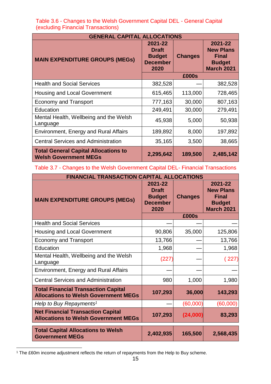| <b>GENERAL CAPITAL ALLOCATIONS</b>                                          |                                                                     |                |                                                                                   |  |  |
|-----------------------------------------------------------------------------|---------------------------------------------------------------------|----------------|-----------------------------------------------------------------------------------|--|--|
| <b>MAIN EXPENDITURE GROUPS (MEGs)</b>                                       | 2021-22<br><b>Draft</b><br><b>Budget</b><br><b>December</b><br>2020 | <b>Changes</b> | 2021-22<br><b>New Plans</b><br><b>Final</b><br><b>Budget</b><br><b>March 2021</b> |  |  |
|                                                                             |                                                                     | £000s          |                                                                                   |  |  |
| <b>Health and Social Services</b>                                           | 382,528                                                             |                | 382,528                                                                           |  |  |
| <b>Housing and Local Government</b>                                         | 615,465                                                             | 113,000        | 728,465                                                                           |  |  |
| <b>Economy and Transport</b>                                                | 777,163                                                             | 30,000         | 807,163                                                                           |  |  |
| Education                                                                   | 249,491                                                             | 30,000         | 279,491                                                                           |  |  |
| Mental Health, Wellbeing and the Welsh<br>Language                          | 45,938                                                              | 5,000          | 50,938                                                                            |  |  |
| Environment, Energy and Rural Affairs                                       | 189,892                                                             | 8,000          | 197,892                                                                           |  |  |
| <b>Central Services and Administration</b>                                  | 35,165                                                              | 3,500          | 38,665                                                                            |  |  |
| <b>Total General Capital Allocations to</b><br><b>Welsh Government MEGs</b> | 2,295,642                                                           | 189,500        | 2,485,142                                                                         |  |  |

 Table 3.6 - Changes to the Welsh Government Capital DEL - General Capital (excluding Financial Transactions)

Table 3.7 - Changes to the Welsh Government Capital DEL- Financial Transactions

| <b>FINANCIAL TRANSACTION CAPITAL ALLOCATIONS</b>                                          |                                                                     |                |                                                                                   |  |  |
|-------------------------------------------------------------------------------------------|---------------------------------------------------------------------|----------------|-----------------------------------------------------------------------------------|--|--|
| <b>MAIN EXPENDITURE GROUPS (MEGs)</b>                                                     | 2021-22<br><b>Draft</b><br><b>Budget</b><br><b>December</b><br>2020 | <b>Changes</b> | 2021-22<br><b>New Plans</b><br><b>Final</b><br><b>Budget</b><br><b>March 2021</b> |  |  |
|                                                                                           |                                                                     | £000s          |                                                                                   |  |  |
| <b>Health and Social Services</b>                                                         |                                                                     |                |                                                                                   |  |  |
| <b>Housing and Local Government</b>                                                       | 90,806                                                              | 35,000         | 125,806                                                                           |  |  |
| <b>Economy and Transport</b>                                                              | 13,766                                                              |                | 13,766                                                                            |  |  |
| Education                                                                                 | 1,968                                                               |                | 1,968                                                                             |  |  |
| Mental Health, Wellbeing and the Welsh<br>Language                                        | (227)                                                               |                | (227)                                                                             |  |  |
| <b>Environment, Energy and Rural Affairs</b>                                              |                                                                     |                |                                                                                   |  |  |
| <b>Central Services and Administration</b>                                                | 980                                                                 | 1,000          | 1,980                                                                             |  |  |
| <b>Total Financial Transaction Capital</b><br><b>Allocations to Welsh Government MEGs</b> | 107,293                                                             | 36,000         | 143,293                                                                           |  |  |
| Help to Buy Repayments <sup>1</sup>                                                       |                                                                     | (60,000)       | (60,000)                                                                          |  |  |
| <b>Net Financial Transaction Capital</b><br><b>Allocations to Welsh Government MEGs</b>   | 107,293                                                             | (24,000)       | 83,293                                                                            |  |  |
| <b>Total Capital Allocations to Welsh</b><br><b>Government MEGs</b>                       | 2,402,935                                                           | 165,500        | 2,568,435                                                                         |  |  |

**<sup>.</sup>** <sup>1</sup> The £60m income adjustment reflects the return of repayments from the Help to Buy scheme.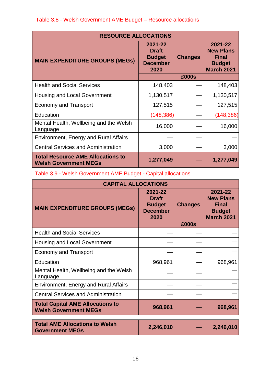| <b>RESOURCE ALLOCATIONS</b>                                              |                                                                     |                |                                                                                   |  |  |
|--------------------------------------------------------------------------|---------------------------------------------------------------------|----------------|-----------------------------------------------------------------------------------|--|--|
| <b>MAIN EXPENDITURE GROUPS (MEGs)</b>                                    | 2021-22<br><b>Draft</b><br><b>Budget</b><br><b>December</b><br>2020 | <b>Changes</b> | 2021-22<br><b>New Plans</b><br><b>Final</b><br><b>Budget</b><br><b>March 2021</b> |  |  |
|                                                                          | £000s                                                               |                |                                                                                   |  |  |
| <b>Health and Social Services</b>                                        | 148,403                                                             |                | 148,403                                                                           |  |  |
| <b>Housing and Local Government</b>                                      | 1,130,517                                                           |                | 1,130,517                                                                         |  |  |
| <b>Economy and Transport</b>                                             | 127,515                                                             |                | 127,515                                                                           |  |  |
| Education                                                                | (148, 386)                                                          |                | (148, 386)                                                                        |  |  |
| Mental Health, Wellbeing and the Welsh<br>Language                       | 16,000                                                              |                | 16,000                                                                            |  |  |
| Environment, Energy and Rural Affairs                                    |                                                                     |                |                                                                                   |  |  |
| <b>Central Services and Administration</b>                               | 3,000                                                               |                | 3,000                                                                             |  |  |
| <b>Total Resource AME Allocations to</b><br><b>Welsh Government MEGs</b> | 1,277,049                                                           |                | 1,277,049                                                                         |  |  |

# Table 3.9 - Welsh Government AME Budget - Capital allocations

| <b>CAPITAL ALLOCATIONS</b>                                              |                                                                     |                |                                                                                   |  |
|-------------------------------------------------------------------------|---------------------------------------------------------------------|----------------|-----------------------------------------------------------------------------------|--|
| <b>MAIN EXPENDITURE GROUPS (MEGs)</b>                                   | 2021-22<br><b>Draft</b><br><b>Budget</b><br><b>December</b><br>2020 | <b>Changes</b> | 2021-22<br><b>New Plans</b><br><b>Final</b><br><b>Budget</b><br><b>March 2021</b> |  |
|                                                                         |                                                                     | £000s          |                                                                                   |  |
| <b>Health and Social Services</b>                                       |                                                                     |                |                                                                                   |  |
| <b>Housing and Local Government</b>                                     |                                                                     |                |                                                                                   |  |
| <b>Economy and Transport</b>                                            |                                                                     |                |                                                                                   |  |
| Education                                                               | 968,961                                                             |                | 968,961                                                                           |  |
| Mental Health, Wellbeing and the Welsh<br>Language                      |                                                                     |                |                                                                                   |  |
| <b>Environment, Energy and Rural Affairs</b>                            |                                                                     |                |                                                                                   |  |
| <b>Central Services and Administration</b>                              |                                                                     |                |                                                                                   |  |
| <b>Total Capital AME Allocations to</b><br><b>Welsh Government MEGs</b> | 968,961                                                             |                | 968,961                                                                           |  |
| <b>Total AME Allocations to Welsh</b><br><b>Government MEGs</b>         | 2,246,010                                                           |                | 2,246,010                                                                         |  |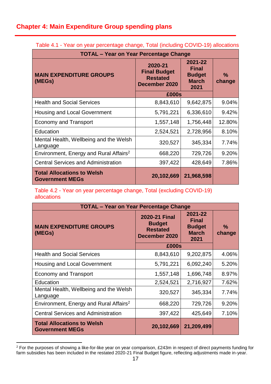# <span id="page-18-0"></span>**Chapter 4: Main Expenditure Group spending plans**

| <b>TOTAL - Year on Year Percentage Change</b>               |                                                                    |                                                                  |                         |  |  |  |
|-------------------------------------------------------------|--------------------------------------------------------------------|------------------------------------------------------------------|-------------------------|--|--|--|
| <b>MAIN EXPENDITURE GROUPS</b><br>(MEGs)                    | 2020-21<br><b>Final Budget</b><br><b>Restated</b><br>December 2020 | 2021-22<br><b>Final</b><br><b>Budget</b><br><b>March</b><br>2021 | $\frac{0}{0}$<br>change |  |  |  |
|                                                             | £000s                                                              |                                                                  |                         |  |  |  |
| <b>Health and Social Services</b>                           | 8,843,610                                                          | 9,642,875                                                        | 9.04%                   |  |  |  |
| <b>Housing and Local Government</b>                         | 5,791,221                                                          | 6,336,610                                                        | 9.42%                   |  |  |  |
| <b>Economy and Transport</b>                                | 1,557,148                                                          | 1,756,448                                                        | 12.80%                  |  |  |  |
| Education                                                   | 2,524,521                                                          | 2,728,956                                                        | 8.10%                   |  |  |  |
| Mental Health, Wellbeing and the Welsh<br>Language          | 320,527                                                            | 345,334                                                          | 7.74%                   |  |  |  |
| Environment, Energy and Rural Affairs <sup>2</sup>          | 668,220                                                            | 729,726                                                          | 9.20%                   |  |  |  |
| <b>Central Services and Administration</b>                  | 397,422                                                            | 428,649                                                          | 7.86%                   |  |  |  |
| <b>Total Allocations to Welsh</b><br><b>Government MEGs</b> | 20,102,669                                                         | 21,968,598                                                       |                         |  |  |  |

Table 4.1 - Year on year percentage change, Total (including COVID-19) allocations

Table 4.2 - Year on year percentage change, Total (excluding COVID-19) allocations

| <b>TOTAL - Year on Year Percentage Change</b>               |                                                                           |                                                                  |                         |  |
|-------------------------------------------------------------|---------------------------------------------------------------------------|------------------------------------------------------------------|-------------------------|--|
| <b>MAIN EXPENDITURE GROUPS</b><br>(MEGs)                    | <b>2020-21 Final</b><br><b>Budget</b><br><b>Restated</b><br>December 2020 | 2021-22<br><b>Final</b><br><b>Budget</b><br><b>March</b><br>2021 | $\frac{9}{6}$<br>change |  |
|                                                             | £000s                                                                     |                                                                  |                         |  |
| <b>Health and Social Services</b>                           | 8,843,610                                                                 | 9,202,875                                                        | 4.06%                   |  |
| Housing and Local Government                                | 5,791,221                                                                 | 6,092,240                                                        | 5.20%                   |  |
| <b>Economy and Transport</b>                                | 1,557,148                                                                 | 1,696,748                                                        | 8.97%                   |  |
| Education                                                   | 2,524,521                                                                 | 2,716,927                                                        | 7.62%                   |  |
| Mental Health, Wellbeing and the Welsh<br>Language          | 320,527                                                                   | 345,334                                                          | 7.74%                   |  |
| Environment, Energy and Rural Affairs <sup>2</sup>          | 668,220                                                                   | 729,726                                                          | 9.20%                   |  |
| <b>Central Services and Administration</b>                  | 397,422                                                                   | 425,649                                                          | 7.10%                   |  |
| <b>Total Allocations to Welsh</b><br><b>Government MEGs</b> | 20,102,669                                                                | 21,209,499                                                       |                         |  |

<sup>1</sup>  $2$  For the purposes of showing a like-for-like year on year comparison, £243m in respect of direct payments funding for farm subsidies has been included in the restated 2020-21 Final Budget figure, reflecting adjustments made in-year.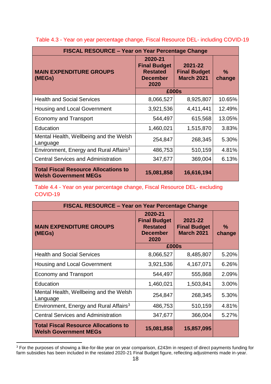| <b>FISCAL RESOURCE – Year on Year Percentage Change</b>                     |                                                                                                                                     |            |                         |  |
|-----------------------------------------------------------------------------|-------------------------------------------------------------------------------------------------------------------------------------|------------|-------------------------|--|
| <b>MAIN EXPENDITURE GROUPS</b><br>(MEGs)                                    | 2020-21<br><b>Final Budget</b><br>2021-22<br><b>Final Budget</b><br><b>Restated</b><br><b>March 2021</b><br><b>December</b><br>2020 |            | $\frac{9}{6}$<br>change |  |
|                                                                             | £000s                                                                                                                               |            |                         |  |
| <b>Health and Social Services</b>                                           | 8,066,527                                                                                                                           | 8,925,807  | 10.65%                  |  |
| <b>Housing and Local Government</b>                                         | 3,921,536                                                                                                                           | 4,411,441  | 12.49%                  |  |
| <b>Economy and Transport</b>                                                | 544,497                                                                                                                             | 615,568    | 13.05%                  |  |
| Education                                                                   | 1,460,021                                                                                                                           | 1,515,870  | 3.83%                   |  |
| Mental Health, Wellbeing and the Welsh<br>Language                          | 254,847                                                                                                                             | 268,345    | 5.30%                   |  |
| Environment, Energy and Rural Affairs <sup>3</sup>                          | 486,753                                                                                                                             | 510,159    | 4.81%                   |  |
| <b>Central Services and Administration</b>                                  | 347,677                                                                                                                             | 369,004    | 6.13%                   |  |
| <b>Total Fiscal Resource Allocations to</b><br><b>Welsh Government MEGs</b> | 15,081,858                                                                                                                          | 16,616,194 |                         |  |

Table 4.3 - Year on year percentage change, Fiscal Resource DEL- including COVID-19

Table 4.4 - Year on year percentage change, Fiscal Resource DEL- excluding COVID-19

| <b>FISCAL RESOURCE – Year on Year Percentage Change</b>                     |                                                                                                                                     |            |                         |  |
|-----------------------------------------------------------------------------|-------------------------------------------------------------------------------------------------------------------------------------|------------|-------------------------|--|
| <b>MAIN EXPENDITURE GROUPS</b><br>(MEGs)                                    | 2020-21<br><b>Final Budget</b><br>2021-22<br><b>Final Budget</b><br><b>Restated</b><br><b>March 2021</b><br><b>December</b><br>2020 |            | $\frac{9}{6}$<br>change |  |
|                                                                             | £000s                                                                                                                               |            |                         |  |
| <b>Health and Social Services</b>                                           | 8,066,527                                                                                                                           | 8,485,807  | 5.20%                   |  |
| Housing and Local Government                                                | 3,921,536                                                                                                                           | 4,167,071  | 6.26%                   |  |
| <b>Economy and Transport</b>                                                | 544,497                                                                                                                             | 555,868    | 2.09%                   |  |
| Education                                                                   | 1,460,021                                                                                                                           | 1,503,841  | 3.00%                   |  |
| Mental Health, Wellbeing and the Welsh<br>Language                          | 254,847                                                                                                                             | 268,345    | 5.30%                   |  |
| Environment, Energy and Rural Affairs <sup>3</sup>                          | 486,753                                                                                                                             | 510,159    | 4.81%                   |  |
| <b>Central Services and Administration</b>                                  | 347,677                                                                                                                             | 366,004    | 5.27%                   |  |
| <b>Total Fiscal Resource Allocations to</b><br><b>Welsh Government MEGs</b> | 15,081,858                                                                                                                          | 15,857,095 |                         |  |

<sup>1</sup>  $3$  For the purposes of showing a like-for-like year on year comparison, £243m in respect of direct payments funding for farm subsidies has been included in the restated 2020-21 Final Budget figure, reflecting adjustments made in-year.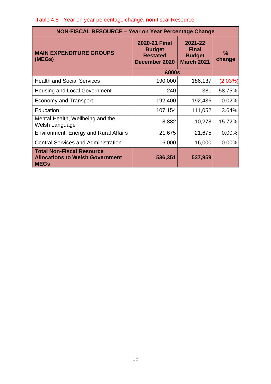| Table 4.5 - Year on year percentage change, non-fiscal Resource |  |  |  |  |  |
|-----------------------------------------------------------------|--|--|--|--|--|
|-----------------------------------------------------------------|--|--|--|--|--|

| <b>NON-FISCAL RESOURCE - Year on Year Percentage Change</b>                               |                                                                                                                                            |         |                |  |
|-------------------------------------------------------------------------------------------|--------------------------------------------------------------------------------------------------------------------------------------------|---------|----------------|--|
| <b>MAIN EXPENDITURE GROUPS</b><br>(MEGs)                                                  | <b>2020-21 Final</b><br>2021-22<br><b>Final</b><br><b>Budget</b><br><b>Restated</b><br><b>Budget</b><br><b>March 2021</b><br>December 2020 |         | $\%$<br>change |  |
|                                                                                           | £000s                                                                                                                                      |         |                |  |
| <b>Health and Social Services</b>                                                         | 190,000                                                                                                                                    | 186,137 | (2.03%)        |  |
| Housing and Local Government                                                              | 240                                                                                                                                        | 381     | 58.75%         |  |
| <b>Economy and Transport</b>                                                              | 192,400                                                                                                                                    | 192,436 | 0.02%          |  |
| Education                                                                                 | 107,154                                                                                                                                    | 111,052 | 3.64%          |  |
| Mental Health, Wellbeing and the<br>Welsh Language                                        | 8,882                                                                                                                                      | 10,278  | 15.72%         |  |
| Environment, Energy and Rural Affairs                                                     | 21,675                                                                                                                                     | 21,675  | 0.00%          |  |
| <b>Central Services and Administration</b>                                                | 16,000                                                                                                                                     | 16,000  | $0.00\%$       |  |
| <b>Total Non-Fiscal Resource</b><br><b>Allocations to Welsh Government</b><br><b>MEGs</b> | 536,351                                                                                                                                    | 537,959 |                |  |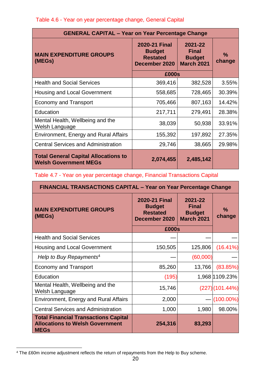Table 4.6 - Year on year percentage change, General Capital

| <b>GENERAL CAPITAL - Year on Year Percentage Change</b>                     |                                                                           |                                                               |                         |  |
|-----------------------------------------------------------------------------|---------------------------------------------------------------------------|---------------------------------------------------------------|-------------------------|--|
| <b>MAIN EXPENDITURE GROUPS</b><br>(MEGs)                                    | <b>2020-21 Final</b><br><b>Budget</b><br><b>Restated</b><br>December 2020 | 2021-22<br><b>Final</b><br><b>Budget</b><br><b>March 2021</b> | $\frac{0}{0}$<br>change |  |
|                                                                             | £000s                                                                     |                                                               |                         |  |
| <b>Health and Social Services</b>                                           | 369,416                                                                   | 382,528                                                       | 3.55%                   |  |
| <b>Housing and Local Government</b>                                         | 558,685                                                                   | 728,465                                                       | 30.39%                  |  |
| <b>Economy and Transport</b>                                                | 705,466                                                                   | 807,163                                                       | 14.42%                  |  |
| Education                                                                   | 217,711                                                                   | 279,491                                                       | 28.38%                  |  |
| Mental Health, Wellbeing and the<br>Welsh Language                          | 38,039                                                                    | 50,938                                                        | 33.91%                  |  |
| <b>Environment, Energy and Rural Affairs</b>                                | 155,392                                                                   | 197,892                                                       | 27.35%                  |  |
| <b>Central Services and Administration</b>                                  | 29,746                                                                    | 38,665                                                        | 29.98%                  |  |
| <b>Total General Capital Allocations to</b><br><b>Welsh Government MEGs</b> | 2,074,455                                                                 | 2,485,142                                                     |                         |  |

Table 4.7 - Year on year percentage change, Financial Transactions Capital

| <b>FINANCIAL TRANSACTIONS CAPITAL - Year on Year Percentage Change</b>                               |                                                                           |                                                        |                         |  |
|------------------------------------------------------------------------------------------------------|---------------------------------------------------------------------------|--------------------------------------------------------|-------------------------|--|
| <b>MAIN EXPENDITURE GROUPS</b><br>(MEGs)                                                             | <b>2020-21 Final</b><br><b>Budget</b><br><b>Restated</b><br>December 2020 | 2021-22<br>Final<br><b>Budget</b><br><b>March 2021</b> | $\frac{9}{6}$<br>change |  |
|                                                                                                      | £000s                                                                     |                                                        |                         |  |
| <b>Health and Social Services</b>                                                                    |                                                                           |                                                        |                         |  |
| <b>Housing and Local Government</b>                                                                  | 150,505                                                                   | 125,806                                                | $(16.41\%)$             |  |
| Help to Buy Repayments <sup>4</sup>                                                                  |                                                                           | (60,000)                                               |                         |  |
| <b>Economy and Transport</b>                                                                         | 85,260                                                                    | 13,766                                                 | (83.85%)                |  |
| Education                                                                                            | (195)                                                                     |                                                        | 1,968 1109.23%          |  |
| Mental Health, Wellbeing and the<br>Welsh Language                                                   | 15,746                                                                    |                                                        | $(227)(101.44\%)$       |  |
| <b>Environment, Energy and Rural Affairs</b>                                                         | 2,000                                                                     |                                                        | $(100.00\%)$            |  |
| <b>Central Services and Administration</b>                                                           | 1,000                                                                     | 1,980                                                  | 98.00%                  |  |
| <b>Total Financial Transactions Capital</b><br><b>Allocations to Welsh Government</b><br><b>MEGs</b> | 254,316                                                                   | 83,293                                                 |                         |  |

**<sup>.</sup>** <sup>4</sup> The £60m income adjustment reflects the return of repayments from the Help to Buy scheme.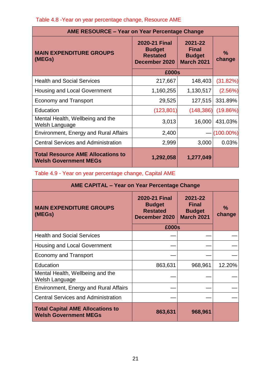# Table 4.8 -Year on year percentage change, Resource AME

| <b>AME RESOURCE - Year on Year Percentage Change</b>                     |                                                                           |                |               |  |
|--------------------------------------------------------------------------|---------------------------------------------------------------------------|----------------|---------------|--|
| <b>MAIN EXPENDITURE GROUPS</b><br>(MEGs)                                 | <b>2020-21 Final</b><br><b>Budget</b><br><b>Restated</b><br>December 2020 | $\%$<br>change |               |  |
|                                                                          | £000s                                                                     |                |               |  |
| <b>Health and Social Services</b>                                        | 217,667                                                                   | 148,403        | (31.82%)      |  |
| <b>Housing and Local Government</b>                                      | 1,160,255                                                                 | 1,130,517      | (2.56%)       |  |
| <b>Economy and Transport</b>                                             | 29,525                                                                    | 127,515        | 331.89%       |  |
| Education                                                                | (123, 801)                                                                | (148, 386)     | (19.86%)      |  |
| Mental Health, Wellbeing and the<br>Welsh Language                       | 3,013                                                                     | 16,000         | 431.03%       |  |
| Environment, Energy and Rural Affairs                                    | 2,400                                                                     |                | $-$ (100.00%) |  |
| <b>Central Services and Administration</b>                               | 2,999                                                                     | 3,000          | 0.03%         |  |
| <b>Total Resource AME Allocations to</b><br><b>Welsh Government MEGs</b> | 1,292,058                                                                 | 1,277,049      |               |  |

Table 4.9 - Year on year percentage change, Capital AME

|                                                                         | <b>AME CAPITAL - Year on Year Percentage Change</b>                       |                                                               |                         |  |  |
|-------------------------------------------------------------------------|---------------------------------------------------------------------------|---------------------------------------------------------------|-------------------------|--|--|
| <b>MAIN EXPENDITURE GROUPS</b><br>(MEGs)                                | <b>2020-21 Final</b><br><b>Budget</b><br><b>Restated</b><br>December 2020 | 2021-22<br><b>Final</b><br><b>Budget</b><br><b>March 2021</b> | $\frac{9}{6}$<br>change |  |  |
|                                                                         | £000s                                                                     |                                                               |                         |  |  |
| <b>Health and Social Services</b>                                       |                                                                           |                                                               |                         |  |  |
| <b>Housing and Local Government</b>                                     |                                                                           |                                                               |                         |  |  |
| <b>Economy and Transport</b>                                            |                                                                           |                                                               |                         |  |  |
| Education                                                               | 863,631                                                                   | 968,961                                                       | 12.20%                  |  |  |
| Mental Health, Wellbeing and the<br>Welsh Language                      |                                                                           |                                                               |                         |  |  |
| <b>Environment, Energy and Rural Affairs</b>                            |                                                                           |                                                               |                         |  |  |
| <b>Central Services and Administration</b>                              |                                                                           |                                                               |                         |  |  |
| <b>Total Capital AME Allocations to</b><br><b>Welsh Government MEGs</b> | 863,631                                                                   | 968,961                                                       |                         |  |  |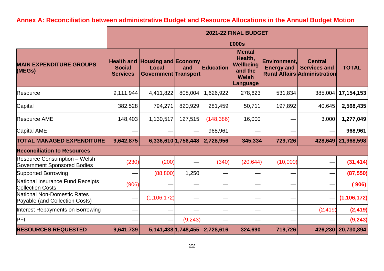# **Annex A: Reconciliation between administrative Budget and Resource Allocations in the Annual Budget Motion**

<span id="page-23-0"></span>

|                                                                    | 2021-22 FINAL BUDGET                                  |                                                                           |          |                  |                                                                                            |                                          |                                                                              |               |
|--------------------------------------------------------------------|-------------------------------------------------------|---------------------------------------------------------------------------|----------|------------------|--------------------------------------------------------------------------------------------|------------------------------------------|------------------------------------------------------------------------------|---------------|
|                                                                    |                                                       | £000s                                                                     |          |                  |                                                                                            |                                          |                                                                              |               |
| <b>MAIN EXPENDITURE GROUPS</b><br>(MEGs)                           | <b>Health and</b><br><b>Social</b><br><b>Services</b> | <b>Housing and Economy</b><br><b>Local</b><br><b>Government Transport</b> | and      | <b>Education</b> | <b>Mental</b><br>Health,<br><b>Wellbeing</b><br>and the<br><b>Welsh</b><br><b>Language</b> | <b>Environment,</b><br><b>Energy and</b> | <b>Central</b><br><b>Services and</b><br><b>Rural Affairs Administration</b> | <b>TOTAL</b>  |
| Resource                                                           | 9,111,944                                             | 4,411,822                                                                 | 808,004  | 1,626,922        | 278,623                                                                                    | 531,834                                  | 385,004                                                                      | 17, 154, 153  |
| Capital                                                            | 382,528                                               | 794,271                                                                   | 820,929  | 281,459          | 50,711                                                                                     | 197,892                                  | 40,645                                                                       | 2,568,435     |
| <b>Resource AME</b>                                                | 148,403                                               | 1,130,517                                                                 | 127,515  | (148, 386)       | 16,000                                                                                     |                                          | 3,000                                                                        | 1,277,049     |
| Capital AME                                                        |                                                       |                                                                           |          | 968,961          |                                                                                            |                                          |                                                                              | 968,961       |
| <b>TOTAL MANAGED EXPENDITURE</b>                                   | 9,642,875                                             | 6,336,610 1,756,448                                                       |          | 2,728,956        | 345,334                                                                                    | 729,726                                  | 428,649                                                                      | 21,968,598    |
| <b>Reconciliation to Resources</b>                                 |                                                       |                                                                           |          |                  |                                                                                            |                                          |                                                                              |               |
| Resource Consumption - Welsh<br><b>Government Sponsored Bodies</b> | (230)                                                 | (200)                                                                     |          | (340)            | (20, 644)                                                                                  | (10,000)                                 |                                                                              | (31, 414)     |
| <b>Supported Borrowing</b>                                         |                                                       | (88, 800)                                                                 | 1,250    |                  |                                                                                            |                                          |                                                                              | (87, 550)     |
| National Insurance Fund Receipts<br><b>Collection Costs</b>        | (906)                                                 |                                                                           |          |                  |                                                                                            |                                          |                                                                              | (906)         |
| National Non-Domestic Rates<br>Payable (and Collection Costs)      | —                                                     | (1, 106, 172)                                                             |          |                  |                                                                                            |                                          |                                                                              | (1, 106, 172) |
| Interest Repayments on Borrowing                                   |                                                       |                                                                           |          |                  |                                                                                            |                                          | (2, 419)                                                                     | (2, 419)      |
| PFI                                                                |                                                       |                                                                           | (9, 243) |                  |                                                                                            |                                          |                                                                              | (9, 243)      |
| <b>RESOURCES REQUESTED</b>                                         | 9,641,739                                             | $5,141,438$   1,748,455                                                   |          | 2,728,616        | 324,690                                                                                    | 719,726                                  | 426,230                                                                      | 20,730,894    |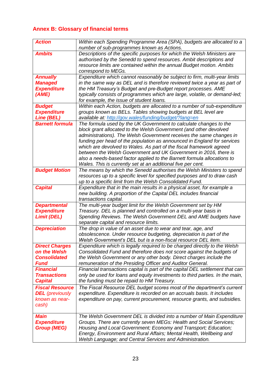# <span id="page-24-0"></span>**Annex B: Glossary of financial terms**

| <b>Action</b>                            | Within each Spending Programme Area (SPA), budgets are allocated to a                                                                                         |
|------------------------------------------|---------------------------------------------------------------------------------------------------------------------------------------------------------------|
|                                          | number of sub-programmes known as Actions.                                                                                                                    |
| <b>Ambits</b>                            | Descriptions of the specific purposes for which the Welsh Ministers are                                                                                       |
|                                          | authorised by the Senedd to spend resources. Ambit descriptions and                                                                                           |
|                                          | resource limits are contained within the annual Budget motion. Ambits                                                                                         |
|                                          | correspond to MEGs.                                                                                                                                           |
| <b>Annually</b>                          | Expenditure which cannot reasonably be subject to firm, multi-year limits                                                                                     |
| <b>Managed</b>                           | in the same way as DEL and is therefore reviewed twice a year as part of                                                                                      |
| <b>Expenditure</b>                       | the HM Treasury's Budget and pre-Budget report processes. AME                                                                                                 |
| (AME)                                    | typically consists of programmes which are large, volatile, or demand-led;                                                                                    |
|                                          | for example, the issue of student loans.                                                                                                                      |
| <b>Budget</b>                            | Within each Action, budgets are allocated to a number of sub-expenditure                                                                                      |
| <b>Expenditure</b><br>Line (BEL)         | groups known as BELs. Tables showing budgets at BEL level are<br>available at: http://gov.wales/funding/budget/?lang=en                                       |
| <b>Barnett formula</b>                   | The formula used by the UK Government to calculate changes to the                                                                                             |
|                                          | block grant allocated to the Welsh Government (and other devolved                                                                                             |
|                                          | administrations). The Welsh Government receives the same changes in                                                                                           |
|                                          | funding per head of the population as announced in England for services                                                                                       |
|                                          | which are devolved to Wales. As part of the fiscal framework agreed                                                                                           |
|                                          | between the Welsh Government and UK Government in 2016, there is                                                                                              |
|                                          | also a needs-based factor applied to the Barnett formula allocations to                                                                                       |
|                                          | Wales. This is currently set at an additional five per cent.                                                                                                  |
| <b>Budget Motion</b>                     | The means by which the Senedd authorises the Welsh Ministers to spend                                                                                         |
|                                          | resources up to a specific level for specified purposes and to draw cash                                                                                      |
|                                          | up to a specific limit from the Welsh Consolidated Fund.                                                                                                      |
| <b>Capital</b>                           | Expenditure that in the main results in a physical asset, for example a                                                                                       |
|                                          | new building. A proportion of the Capital DEL includes financial                                                                                              |
|                                          | transactions capital.                                                                                                                                         |
| <b>Departmental</b>                      | The multi-year budget limit for the Welsh Government set by HM                                                                                                |
| <b>Expenditure</b>                       | Treasury. DEL is planned and controlled on a multi-year basis in                                                                                              |
| <b>Limit (DEL)</b>                       | Spending Reviews. The Welsh Government DEL and AME budgets have                                                                                               |
|                                          | separate capital and resource limits.                                                                                                                         |
| <b>Depreciation</b>                      | The drop in value of an asset due to wear and tear, age, and                                                                                                  |
|                                          | obsolescence. Under resource budgeting, depreciation is part of the                                                                                           |
|                                          | Welsh Government's DEL but is a non-fiscal resource DEL item.                                                                                                 |
| <b>Direct Charges</b>                    | Expenditure which is legally required to be charged directly to the Welsh                                                                                     |
| on the Welsh                             | Consolidated Fund and therefore does not score against the budgets of                                                                                         |
| <b>Consolidated</b>                      | the Welsh Government or any other body. Direct charges include the                                                                                            |
| <b>Fund</b><br><b>Financial</b>          | remuneration of the Presiding Officer and Auditor General.                                                                                                    |
| <b>Transactions</b>                      | Financial transactions capital is part of the capital DEL settlement that can<br>only be used for loans and equity investments to third parties. In the main, |
| <b>Capital</b>                           | the funding must be repaid to HM Treasury.                                                                                                                    |
|                                          |                                                                                                                                                               |
| <b>Fiscal Resource</b>                   | The Fiscal Resource DEL budget scores most of the department's current<br>expenditure. Expenditure is recorded on an accruals basis. It includes              |
| <b>DEL</b> (previously<br>known as near- |                                                                                                                                                               |
| cash)                                    | expenditure on pay, current procurement, resource grants, and subsidies.                                                                                      |
|                                          |                                                                                                                                                               |
| <b>Main</b>                              | The Welsh Government DEL is divided into a number of Main Expenditure                                                                                         |
| <b>Expenditure</b>                       | Groups. There are currently seven MEGs: Health and Social Services;                                                                                           |
| <b>Group (MEG)</b>                       | Housing and Local Government; Economy and Transport; Education;                                                                                               |
|                                          | Energy, Environment and Rural Affairs; Mental Health, Wellbeing and                                                                                           |
|                                          | Welsh Language; and Central Services and Administration.                                                                                                      |